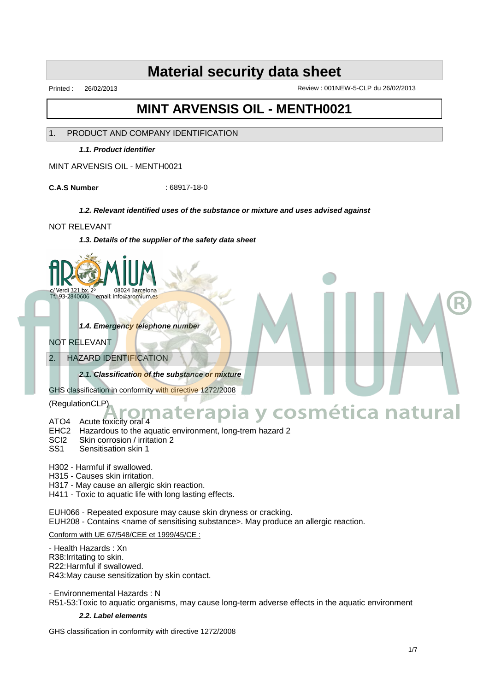Printed : 26/02/2013 Review : 001NEW-5-CLP du 26/02/2013

# **MINT ARVENSIS OIL - MENTH0021**

# 1. PRODUCT AND COMPANY IDENTIFICATION

**1.1. Product identifier**

MINT ARVENSIS OIL - MENTH0021

**C.A.S Number** : 68917-18-0

## **1.2. Relevant identified uses of the substance or mixture and uses advised against**

## NOT RELEVANT

**1.3. Details of the supplier of the safety data sheet**



**1.4. Emergency telephone number**

# NOT RELEVANT

# 2. HAZARD IDENTIFICATION

**2.1. Classification of the substance or mixture**

GHS classification in conformity with directive 1272/2008

(RegulationCLP)

# ATO4 Acute toxicity oral 4 **Aromaterapia y cosmética natural**

- EHC2 Hazardous to the aquatic environment, long-trem hazard 2
- SCI2 Skin corrosion / irritation 2<br>SS1 Sensitisation skin 1
- Sensitisation skin 1

H302 - Harmful if swallowed.

H315 - Causes skin irritation.

H317 - May cause an allergic skin reaction.

H411 - Toxic to aquatic life with long lasting effects.

EUH066 - Repeated exposure may cause skin dryness or cracking. EUH208 - Contains <name of sensitising substance>. May produce an allergic reaction.

Conform with UE 67/548/CEE et 1999/45/CE :

- Health Hazards : Xn R38:Irritating to skin. R22:Harmful if swallowed. R43:May cause sensitization by skin contact.

- Environnemental Hazards : N R51-53:Toxic to aquatic organisms, may cause long-term adverse effects in the aquatic environment

## **2.2. Label elements**

GHS classification in conformity with directive 1272/2008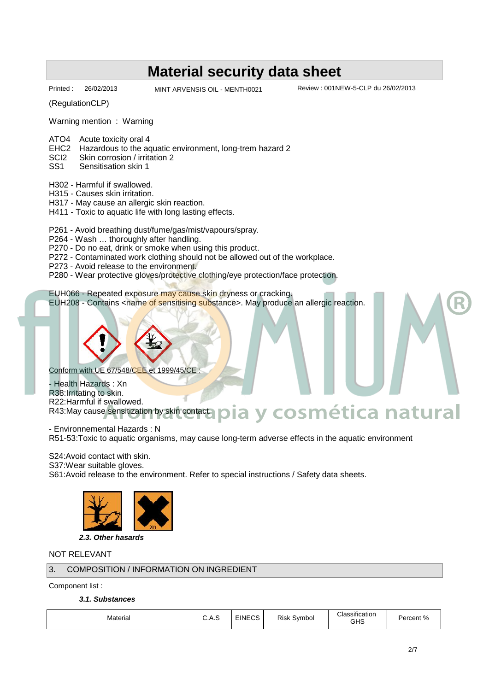Printed : 26/02/2013 MINT ARVENSIS OIL - MENTH0021 Review : 001NEW-5-CLP du 26/02/2013

**Aromaterapia y cosmética natural**

(RegulationCLP)

Warning mention : Warning

- ATO4 Acute toxicity oral 4
- EHC2 Hazardous to the aquatic environment, long-trem hazard 2<br>SCl2 Skin corrosion / irritation 2
- SCI2 Skin corrosion / irritation 2<br>SS1 Sensitisation skin 1
- Sensitisation skin 1
- H302 Harmful if swallowed.
- H315 Causes skin irritation.
- H317 May cause an allergic skin reaction.
- H411 Toxic to aquatic life with long lasting effects.
- P261 Avoid breathing dust/fume/gas/mist/vapours/spray.
- P264 Wash … thoroughly after handling.
- P270 Do no eat, drink or smoke when using this product.
- P272 Contaminated work clothing should not be allowed out of the workplace.
- P273 Avoid release to the environment.
- P280 Wear protective gloves/protective clothing/eye protection/face protection.

EUH066 - Repeated exposure may cause skin dryness or cracking. EUH208 - Contains <name of sensitising substance>. May produce an allergic reaction.

Conform with UE 67/548/CEE et 1999/45/CE :

Health Hazards : Xn R38:Irritating to skin. R22:Harmful if swallowed. R43:May cause sensitization by skin contact.

- Environnemental Hazards : N R51-53:Toxic to aquatic organisms, may cause long-term adverse effects in the aquatic environment

S24:Avoid contact with skin.

S37: Wear suitable gloves.

S61:Avoid release to the environment. Refer to special instructions / Safety data sheets.



**2.3. Other hasards**

# NOT RELEVANT

# 3. COMPOSITION / INFORMATION ON INGREDIENT

Component list :

**3.1. Substances**

| Material | ◡.┌ | 100 <sub>2</sub><br>∵ FINECJ | Risk<br>Svmbol | $\sim$ $\sim$ $\sim$<br>$\sim$<br>Classification<br>GHS | Darcant %<br>"∕∩<br><b>UCIIL</b> |  |
|----------|-----|------------------------------|----------------|---------------------------------------------------------|----------------------------------|--|
|----------|-----|------------------------------|----------------|---------------------------------------------------------|----------------------------------|--|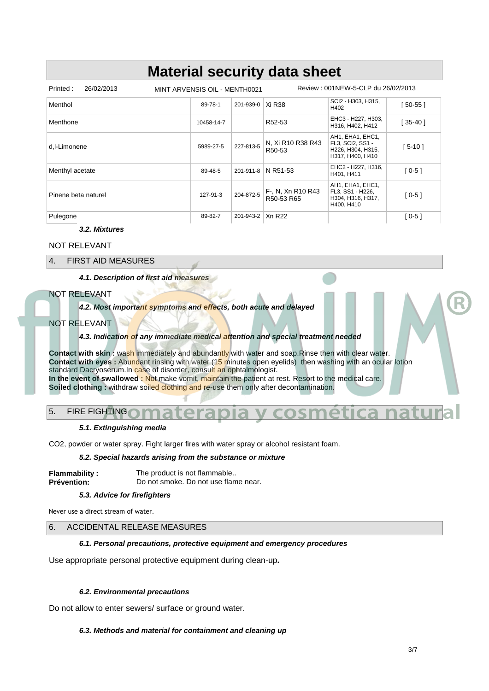| 26/02/2013<br>Printed:<br>MINT ARVENSIS OIL - MENTH0021 |            |                    | Review: 001NEW-5-CLP du 26/02/2013       |                                                                               |           |  |
|---------------------------------------------------------|------------|--------------------|------------------------------------------|-------------------------------------------------------------------------------|-----------|--|
| Menthol                                                 | 89-78-1    | 201-939-0          | Xi R38                                   | SCI2 - H303, H315,<br>H402                                                    | [ 50-55 ] |  |
| Menthone                                                | 10458-14-7 |                    | R52-53                                   | EHC3 - H227, H303,<br>H316, H402, H412                                        | $35-40$   |  |
| d.I-Limonene                                            | 5989-27-5  | 227-813-5          | N, Xi R10 R38 R43<br>R <sub>50</sub> -53 | AH1, EHA1, EHC1,<br>FL3, SCI2, SS1 -<br>H226, H304, H315,<br>H317, H400, H410 | [ 5-10 ]  |  |
| Menthyl acetate                                         | 89-48-5    |                    | 201-911-8 N R51-53                       | EHC2 - H227, H316,<br>H401. H411                                              | $[0-5]$   |  |
| Pinene beta naturel                                     | 127-91-3   | 204-872-5          | F-, N, Xn R10 R43<br>R50-53 R65          | AH1, EHA1, EHC1,<br>FL3, SS1 - H226,<br>H304, H316, H317,<br>H400, H410       | $[0-5]$   |  |
| Pulegone                                                | 89-82-7    | 201-943-2   Xn R22 |                                          |                                                                               | $[0-5]$   |  |

# **3.2. Mixtures**

## NOT RELEVANT

4. FIRST AID MEASURES

**4.1. Description of first aid measures**

# NOT RELEVANT

# **4.2. Most important symptoms and effects, both acute and delayed**

#### NOT RELEVANT

# **4.3. Indication of any immediate medical attention and special treatment needed**

Contact with skin: wash immediately and abundantly with water and soap.Rinse then with clear water. **Contact with eyes :** Abundant rinsing with water (15 minutes open eyelids) then washing with an ocular lotion standard Dacryoserum. In case of disorder, consult an ophtalmologist. **In the event of swallowed :** Not make vomit, maintain the patient at rest. Resort to the medical care. Soiled clothing : withdraw soiled clothing and re-use them only after decontamination.

# 5. FIRE FIGHTING **Aromaterapia y cosmética natural**

#### **5.1. Extinguishing media**

CO2, powder or water spray. Fight larger fires with water spray or alcohol resistant foam.

### **5.2. Special hazards arising from the substance or mixture**

**Flammability:** The product is not flammable.. **Prévention:** Do not smoke. Do not use flame near.

#### **5.3. Advice for firefighters**

Never use a direct stream of water.

## 6. ACCIDENTAL RELEASE MEASURES

## **6.1. Personal precautions, protective equipment and emergency procedures**

Use appropriate personal protective equipment during clean-up**.**

## **6.2. Environmental precautions**

Do not allow to enter sewers/ surface or ground water.

## **6.3. Methods and material for containment and cleaning up**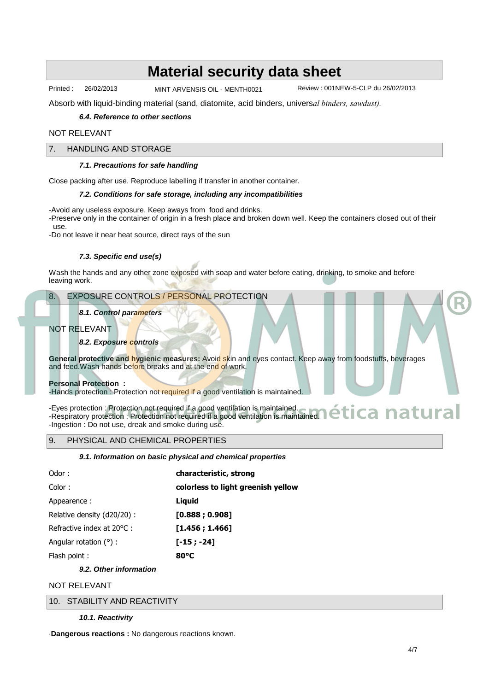Printed : 26/02/2013 MINT ARVENSIS OIL - MENTH0021 Review : 001NEW-5-CLP du 26/02/2013

Absorb with liquid-binding material (sand, diatomite, acid binders, univers*al binders, sawdust).*

# **6.4. Reference to other sections**

## NOT RELEVANT

### 7. HANDLING AND STORAGE

#### **7.1. Precautions for safe handling**

Close packing after use. Reproduce labelling if transfer in another container.

#### **7.2. Conditions for safe storage, including any incompatibilities**

-Avoid any useless exposure. Keep aways from food and drinks.

-Preserve only in the container of origin in a fresh place and broken down well. Keep the containers closed out of their use.

-Do not leave it near heat source, direct rays of the sun

### **7.3. Specific end use(s)**

Wash the hands and any other zone exposed with soap and water before eating, drinking, to smoke and before leaving work.

# 8. EXPOSURE CONTROLS / PERSONAL PROTECTION

### **8.1. Control parameters**

### NOT RELEVANT

#### **8.2. Exposure controls**

**General protective and hygienic measures:** Avoid skin and eyes contact. Keep away from foodstuffs, beverages and feed. Wash hands before breaks and at the end of work.

#### **Personal Protection :**

-Hands protection : Protection not required if a good ventilation is maintained.

-Eyes protection : Protection not required if a good ventilation is maintained. -Eyes protection : Protection not required if a good ventilation is maintained.<br>-Respiratory protection : Protection not required if a good ventilation is maintained. **A ARTUITEE** -Ingestion : Do not use, dreak and smoke during use.

#### 9. PHYSICAL AND CHEMICAL PROPERTIES

#### **9.1. Information on basic physical and chemical properties**

| Odor:                      | characteristic, strong             |
|----------------------------|------------------------------------|
| Color:                     | colorless to light greenish yellow |
| Appearence:                | Liguid                             |
| Relative density (d20/20): | [0.888; 0.908]                     |
| Refractive index at 20 C:  | [1.456:1.466]                      |
| Angular rotation ():       | $[-15; -24]$                       |
| Flash point:               | 80 C                               |

# **9.2. Other information**

### NOT RELEVANT

10. STABILITY AND REACTIVITY

#### **10.1. Reactivity**

·**Dangerous reactions :** No dangerous reactions known.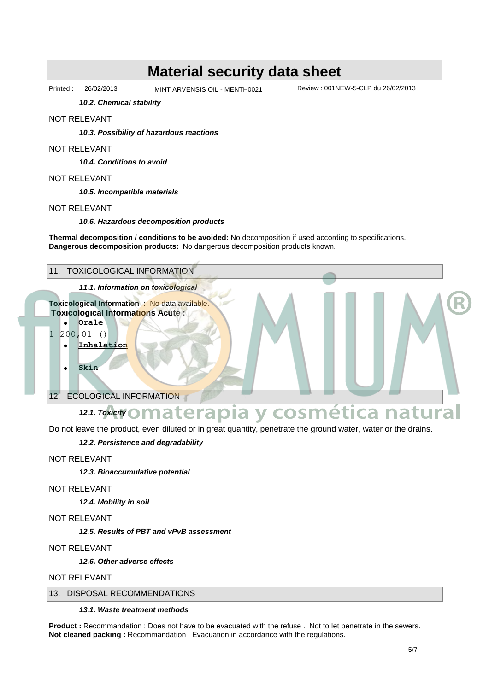Printed : 26/02/2013 MINT ARVENSIS OIL - MENTH0021 Review : 001NEW-5-CLP du 26/02/2013

**10.2. Chemical stability**

#### NOT RELEVANT

**10.3. Possibility of hazardous reactions**

#### NOT RELEVANT

**10.4. Conditions to avoid**

## NOT RELEVANT

**10.5. Incompatible materials**

#### NOT RELEVANT

**10.6. Hazardous decomposition products**

**Thermal decomposition / conditions to be avoided:** No decomposition if used according to specifications. **Dangerous decomposition products:** No dangerous decomposition products known.



Do not leave the product, even diluted or in great quantity, penetrate the ground water, water or the drains.

## **12.2. Persistence and degradability**

NOT RELEVANT

**12.3. Bioaccumulative potential**

# NOT RELEVANT

**12.4. Mobility in soil**

NOT RELEVANT

**12.5. Results of PBT and vPvB assessment**

#### NOT RELEVANT

**12.6. Other adverse effects**

NOT RELEVANT

# 13. DISPOSAL RECOMMENDATIONS

**13.1. Waste treatment methods**

**Product :** Recommandation : Does not have to be evacuated with the refuse . Not to let penetrate in the sewers. **Not cleaned packing :** Recommandation : Evacuation in accordance with the regulations.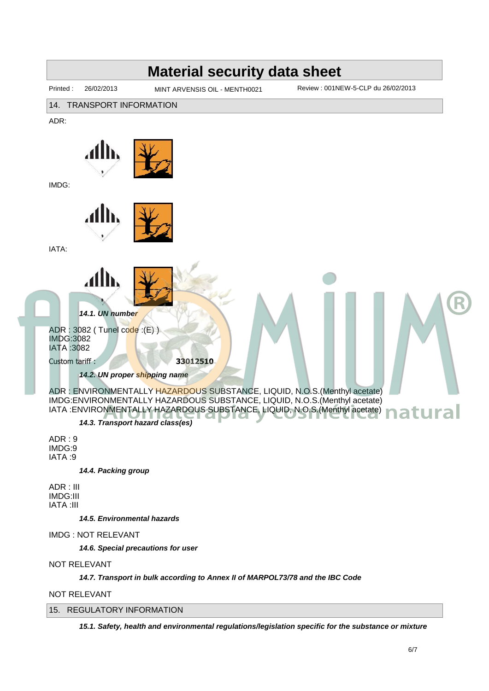

#### NOT RELEVANT

15. REGULATORY INFORMATION

**15.1. Safety, health and environmental regulations/legislation specific for the substance or mixture**